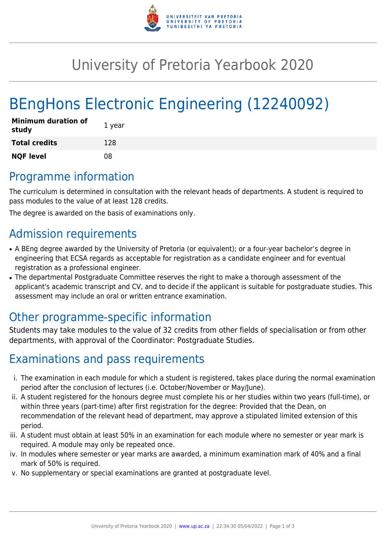

# University of Pretoria Yearbook 2020

# BEngHons Electronic Engineering (12240092)

| <b>Minimum duration of</b><br>study | 1 year |
|-------------------------------------|--------|
| <b>Total credits</b>                | 128    |
| <b>NQF level</b>                    | 08     |

# Programme information

The curriculum is determined in consultation with the relevant heads of departments. A student is required to pass modules to the value of at least 128 credits.

The degree is awarded on the basis of examinations only.

### Admission requirements

- A BEng degree awarded by the University of Pretoria (or equivalent); or a four-year bachelor's degree in engineering that ECSA regards as acceptable for registration as a candidate engineer and for eventual registration as a professional engineer.
- The departmental Postgraduate Committee reserves the right to make a thorough assessment of the applicant's academic transcript and CV, and to decide if the applicant is suitable for postgraduate studies. This assessment may include an oral or written entrance examination.

# Other programme-specific information

Students may take modules to the value of 32 credits from other fields of specialisation or from other departments, with approval of the Coordinator: Postgraduate Studies.

# Examinations and pass requirements

- i. The examination in each module for which a student is registered, takes place during the normal examination period after the conclusion of lectures (i.e. October/November or May/June).
- ii. A student registered for the honours degree must complete his or her studies within two years (full-time), or within three years (part-time) after first registration for the degree: Provided that the Dean, on recommendation of the relevant head of department, may approve a stipulated limited extension of this period.
- iii. A student must obtain at least 50% in an examination for each module where no semester or year mark is required. A module may only be repeated once.
- iv. In modules where semester or year marks are awarded, a minimum examination mark of 40% and a final mark of 50% is required.
- v. No supplementary or special examinations are granted at postgraduate level.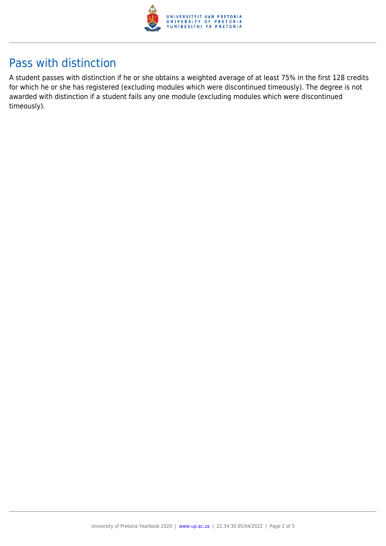

# Pass with distinction

A student passes with distinction if he or she obtains a weighted average of at least 75% in the first 128 credits for which he or she has registered (excluding modules which were discontinued timeously). The degree is not awarded with distinction if a student fails any one module (excluding modules which were discontinued timeously).